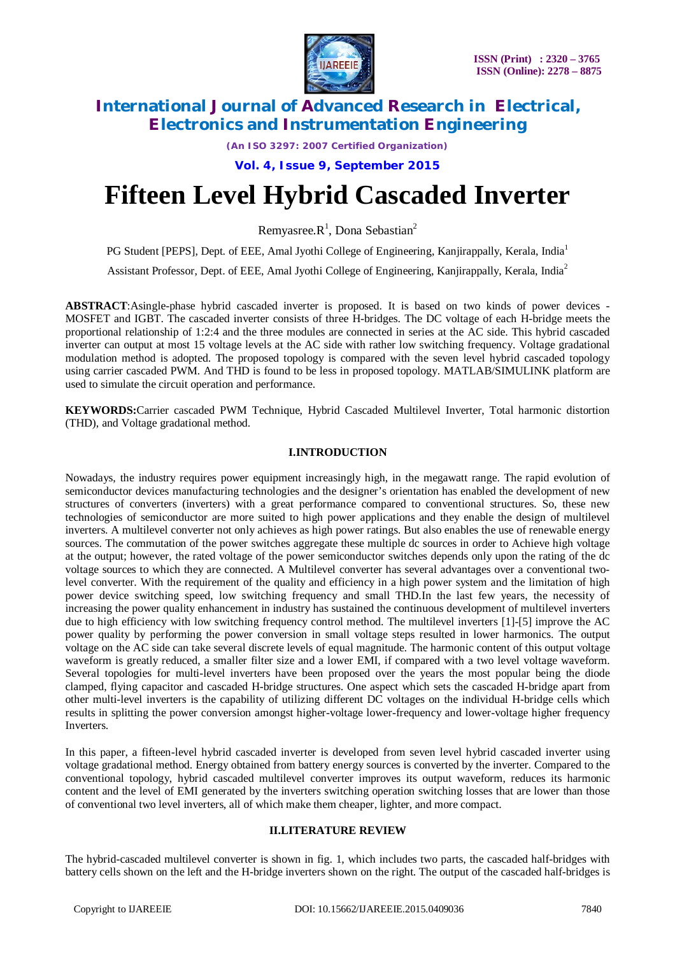

*(An ISO 3297: 2007 Certified Organization)*

**Vol. 4, Issue 9, September 2015**

# **Fifteen Level Hybrid Cascaded Inverter**

Remyasree.R<sup>1</sup>, Dona Sebastian<sup>2</sup>

PG Student [PEPS], Dept. of EEE, Amal Jyothi College of Engineering, Kanjirappally, Kerala, India<sup>1</sup>

Assistant Professor, Dept. of EEE, Amal Jyothi College of Engineering, Kanjirappally, Kerala, India<sup>2</sup>

**ABSTRACT**:Asingle-phase hybrid cascaded inverter is proposed. It is based on two kinds of power devices - MOSFET and IGBT. The cascaded inverter consists of three H-bridges. The DC voltage of each H-bridge meets the proportional relationship of 1:2:4 and the three modules are connected in series at the AC side. This hybrid cascaded inverter can output at most 15 voltage levels at the AC side with rather low switching frequency. Voltage gradational modulation method is adopted. The proposed topology is compared with the seven level hybrid cascaded topology using carrier cascaded PWM. And THD is found to be less in proposed topology. MATLAB/SIMULINK platform are used to simulate the circuit operation and performance.

**KEYWORDS:**Carrier cascaded PWM Technique, Hybrid Cascaded Multilevel Inverter, Total harmonic distortion (THD), and Voltage gradational method.

#### **I.INTRODUCTION**

Nowadays, the industry requires power equipment increasingly high, in the megawatt range. The rapid evolution of semiconductor devices manufacturing technologies and the designer's orientation has enabled the development of new structures of converters (inverters) with a great performance compared to conventional structures. So, these new technologies of semiconductor are more suited to high power applications and they enable the design of multilevel inverters. A multilevel converter not only achieves as high power ratings. But also enables the use of renewable energy sources. The commutation of the power switches aggregate these multiple dc sources in order to Achieve high voltage at the output; however, the rated voltage of the power semiconductor switches depends only upon the rating of the dc voltage sources to which they are connected. A Multilevel converter has several advantages over a conventional twolevel converter. With the requirement of the quality and efficiency in a high power system and the limitation of high power device switching speed, low switching frequency and small THD.In the last few years, the necessity of increasing the power quality enhancement in industry has sustained the continuous development of multilevel inverters due to high efficiency with low switching frequency control method. The multilevel inverters [1]-[5] improve the AC power quality by performing the power conversion in small voltage steps resulted in lower harmonics. The output voltage on the AC side can take several discrete levels of equal magnitude. The harmonic content of this output voltage waveform is greatly reduced, a smaller filter size and a lower EMI, if compared with a two level voltage waveform. Several topologies for multi-level inverters have been proposed over the years the most popular being the diode clamped, flying capacitor and cascaded H-bridge structures. One aspect which sets the cascaded H-bridge apart from other multi-level inverters is the capability of utilizing different DC voltages on the individual H-bridge cells which results in splitting the power conversion amongst higher-voltage lower-frequency and lower-voltage higher frequency **Inverters** 

In this paper, a fifteen-level hybrid cascaded inverter is developed from seven level hybrid cascaded inverter using voltage gradational method. Energy obtained from battery energy sources is converted by the inverter. Compared to the conventional topology, hybrid cascaded multilevel converter improves its output waveform, reduces its harmonic content and the level of EMI generated by the inverters switching operation switching losses that are lower than those of conventional two level inverters, all of which make them cheaper, lighter, and more compact.

#### **II.LITERATURE REVIEW**

The hybrid-cascaded multilevel converter is shown in fig. 1, which includes two parts, the cascaded half-bridges with battery cells shown on the left and the H-bridge inverters shown on the right. The output of the cascaded half-bridges is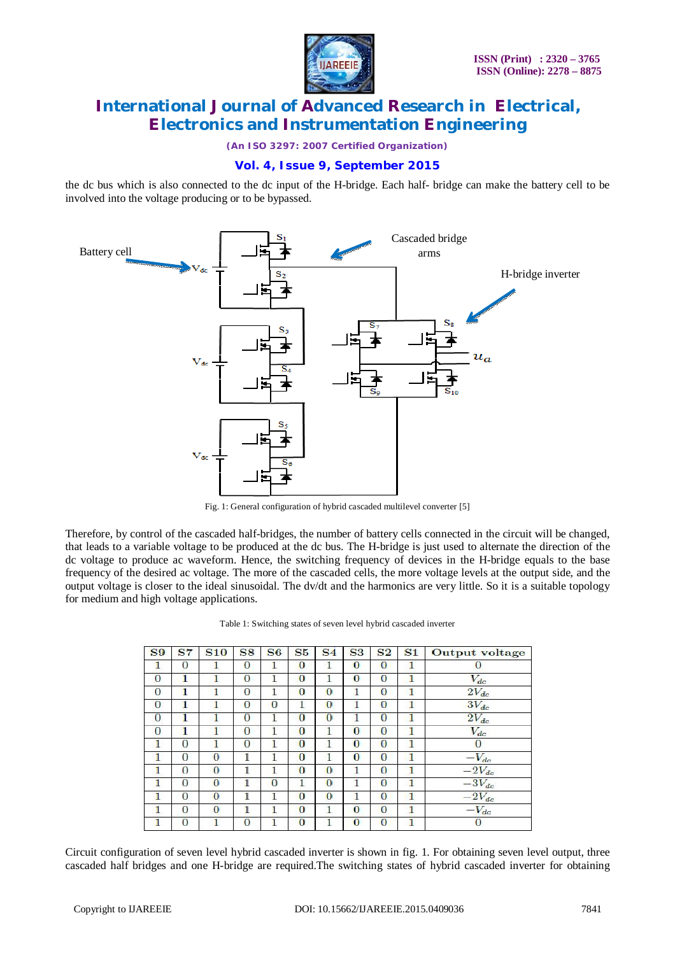

*(An ISO 3297: 2007 Certified Organization)*

### **Vol. 4, Issue 9, September 2015**

the dc bus which is also connected to the dc input of the H-bridge. Each half- bridge can make the battery cell to be involved into the voltage producing or to be bypassed.



Fig. 1: General configuration of hybrid cascaded multilevel converter [5]

Therefore, by control of the cascaded half-bridges, the number of battery cells connected in the circuit will be changed, that leads to a variable voltage to be produced at the dc bus. The H-bridge is just used to alternate the direction of the dc voltage to produce ac waveform. Hence, the switching frequency of devices in the H-bridge equals to the base frequency of the desired ac voltage. The more of the cascaded cells, the more voltage levels at the output side, and the output voltage is closer to the ideal sinusoidal. The dv/dt and the harmonics are very little. So it is a suitable topology for medium and high voltage applications.

| <b>S9</b>    | <b>S7</b>      | <b>S10</b>     | <b>S8</b>      | S <sub>6</sub> | S <sub>5</sub> | S <sub>4</sub> | <b>S3</b> | S <sub>2</sub> | S <sub>1</sub> | <b>Output</b> voltage |
|--------------|----------------|----------------|----------------|----------------|----------------|----------------|-----------|----------------|----------------|-----------------------|
| 1            | $\Omega$       | 1              | $\bf{0}$       |                | $\bf{0}$       | $\mathbf{1}$   | $\bf{0}$  | $\bf{0}$       | 1              | $\bf{0}$              |
| $\mathbf{0}$ | 1              | 1              | $\overline{0}$ | 1              | $\overline{0}$ | 1              | $\Omega$  | $\Omega$       | 1              | $V_{dc}$              |
| $\theta$     | 1              | 1              | $\bf{0}$       | 1              | $\overline{0}$ | $\bf{0}$       |           | $\bf{0}$       | 1              | $2V_{dc}$             |
| $\theta$     | 1              | 1              | $\overline{0}$ | $\overline{0}$ | 1              | $\Omega$       |           | $\overline{0}$ | 1              | $3V_{dc}$             |
| $\Omega$     | 1              | 1              | $\Omega$       | 1              | $\Omega$       | $\Omega$       |           | $\theta$       | 1              | $2V_{dc}$             |
| $\Omega$     | 1              | 1              | $\mathbf{0}$   | 1              | $\bf{0}$       | 1              | $\Omega$  | $\bf{0}$       | 1              | $V_{dc}$              |
| 1            | $\Omega$       | 1              | $\overline{0}$ |                | $\overline{0}$ |                | $\Omega$  | $\theta$       | 1              | $\overline{0}$        |
| 1            | 0              | $\overline{0}$ | 1              | 1              | $\overline{0}$ | $\mathbf{1}$   | $\theta$  | $\Omega$       | 1              | $-V_{dc}$             |
|              | $\Omega$       | $\Omega$       | 1              |                | $\Omega$       | $\Omega$       |           | $\Omega$       | 1              | $-2V_{dc}$            |
| 1            | $\theta$       | $\Omega$       | 1              | $\theta$       | $\mathbf{1}$   | $\overline{0}$ |           | $\theta$       | 1              | $-3V_{dc}$            |
|              | $\Omega$       | $\Omega$       | 1              |                | $\Omega$       | $\Omega$       |           | $\Omega$       | 1              | $-2V_{dc}$            |
| 1            | $\bf{0}$       | $\theta$       | 1              |                | $\overline{0}$ | 1              | $\bf{0}$  | $\overline{0}$ | 1              | $-V_{dc}$             |
|              | $\overline{0}$ |                | $\overline{0}$ |                | $\overline{0}$ |                | $\Omega$  | $\overline{0}$ |                | $\Omega$              |

Circuit configuration of seven level hybrid cascaded inverter is shown in fig. 1. For obtaining seven level output, three cascaded half bridges and one H-bridge are required.The switching states of hybrid cascaded inverter for obtaining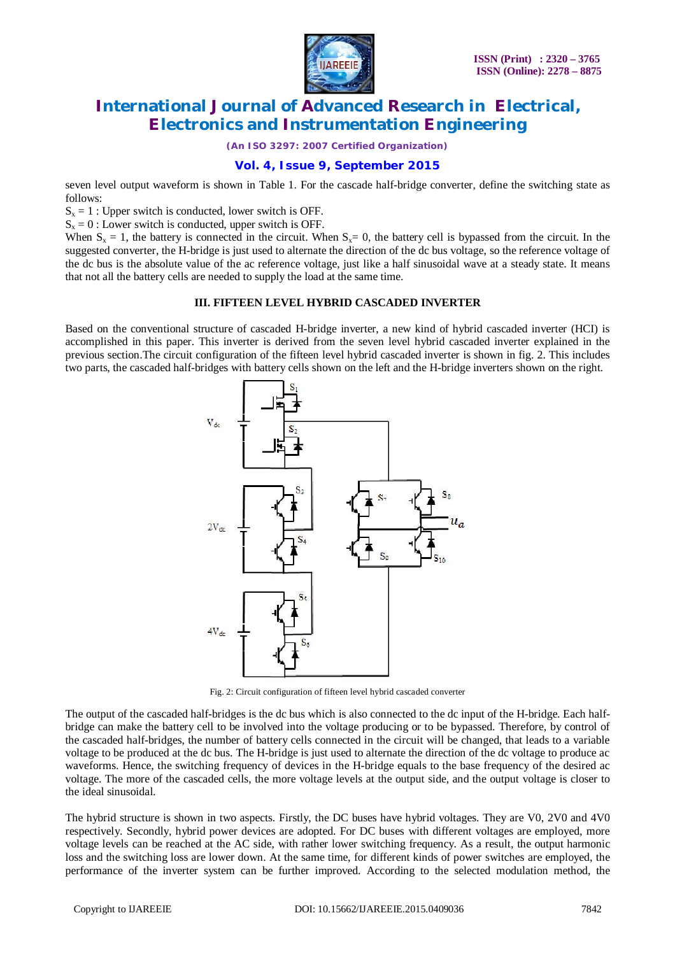

*(An ISO 3297: 2007 Certified Organization)*

### **Vol. 4, Issue 9, September 2015**

seven level output waveform is shown in Table 1. For the cascade half-bridge converter, define the switching state as follows:

 $S_x = 1$ : Upper switch is conducted, lower switch is OFF.

 $S_x = 0$ : Lower switch is conducted, upper switch is OFF.

When  $S_x = 1$ , the battery is connected in the circuit. When  $S_x = 0$ , the battery cell is bypassed from the circuit. In the suggested converter, the H-bridge is just used to alternate the direction of the dc bus voltage, so the reference voltage of the dc bus is the absolute value of the ac reference voltage, just like a half sinusoidal wave at a steady state. It means that not all the battery cells are needed to supply the load at the same time.

#### **III. FIFTEEN LEVEL HYBRID CASCADED INVERTER**

Based on the conventional structure of cascaded H-bridge inverter, a new kind of hybrid cascaded inverter (HCI) is accomplished in this paper. This inverter is derived from the seven level hybrid cascaded inverter explained in the previous section.The circuit configuration of the fifteen level hybrid cascaded inverter is shown in fig. 2. This includes two parts, the cascaded half-bridges with battery cells shown on the left and the H-bridge inverters shown on the right.



Fig. 2: Circuit configuration of fifteen level hybrid cascaded converter

The output of the cascaded half-bridges is the dc bus which is also connected to the dc input of the H-bridge. Each halfbridge can make the battery cell to be involved into the voltage producing or to be bypassed. Therefore, by control of the cascaded half-bridges, the number of battery cells connected in the circuit will be changed, that leads to a variable voltage to be produced at the dc bus. The H-bridge is just used to alternate the direction of the dc voltage to produce ac waveforms. Hence, the switching frequency of devices in the H-bridge equals to the base frequency of the desired ac voltage. The more of the cascaded cells, the more voltage levels at the output side, and the output voltage is closer to the ideal sinusoidal.

The hybrid structure is shown in two aspects. Firstly, the DC buses have hybrid voltages. They are V0, 2V0 and 4V0 respectively. Secondly, hybrid power devices are adopted. For DC buses with different voltages are employed, more voltage levels can be reached at the AC side, with rather lower switching frequency. As a result, the output harmonic loss and the switching loss are lower down. At the same time, for different kinds of power switches are employed, the performance of the inverter system can be further improved. According to the selected modulation method, the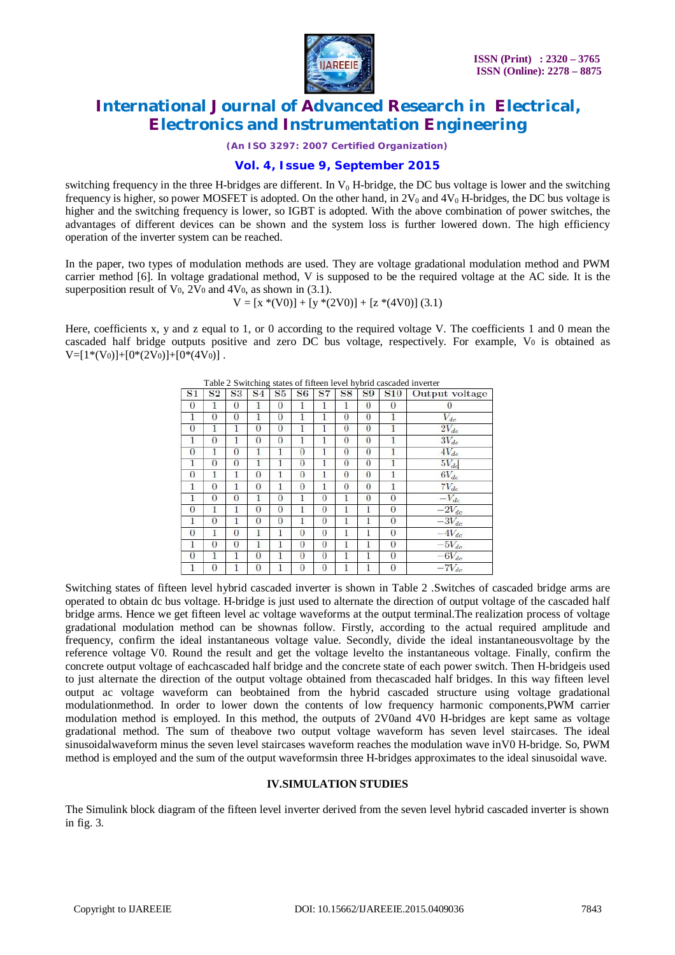

*(An ISO 3297: 2007 Certified Organization)*

#### **Vol. 4, Issue 9, September 2015**

switching frequency in the three H-bridges are different. In  $V_0$  H-bridge, the DC bus voltage is lower and the switching frequency is higher, so power MOSFET is adopted. On the other hand, in  $2V_0$  and  $4V_0$  H-bridges, the DC bus voltage is higher and the switching frequency is lower, so IGBT is adopted. With the above combination of power switches, the advantages of different devices can be shown and the system loss is further lowered down. The high efficiency operation of the inverter system can be reached.

In the paper, two types of modulation methods are used. They are voltage gradational modulation method and PWM carrier method [6]. In voltage gradational method, V is supposed to be the required voltage at the AC side. It is the superposition result of  $V_0$ ,  $2V_0$  and  $4V_0$ , as shown in (3.1).

$$
V = [x * (V0)] + [y * (2V0)] + [z * (4V0)] (3.1)
$$

Here, coefficients x, y and z equal to 1, or 0 according to the required voltage V. The coefficients 1 and 0 mean the cascaded half bridge outputs positive and zero DC bus voltage, respectively. For example, V<sup>0</sup> is obtained as  $V=[1*(V_0)]+[0*(2V_0)]+[0*(4V_0)]$ .

| S <sub>1</sub> | S <sub>2</sub> | S3             | S <sub>4</sub> | S5             | <b>S6</b>      | <b>S7</b>      | <b>S8</b>      | <b>S9</b> | <b>S10</b>     | Output voltage |
|----------------|----------------|----------------|----------------|----------------|----------------|----------------|----------------|-----------|----------------|----------------|
| $\theta$       | 1              | $\Omega$       | $\mathbf{1}$   | $\overline{0}$ | 1              | $\mathbf{1}$   | 1              | $\theta$  | $\overline{0}$ | $\overline{0}$ |
| 1              | $\theta$       | $\theta$       |                | $\theta$       | 1              | 1              | $\overline{0}$ | $\bf{0}$  | $\mathbf{1}$   | $V_{dc}$       |
| $\bf{0}$       | 1              | 1              | $\Omega$       | $\Omega$       | 1              | 1              | $\bf{0}$       | $\bf{0}$  |                | $2V_{dc}$      |
| 1              | $\Omega$       | 1              | $\Omega$       | $\Omega$       | $\mathbf{1}$   | $\mathbf{1}$   | $\theta$       | $\theta$  | 1              | $3V_{dc}$      |
| $\bf{0}$       | 1              | $\Omega$       | 1              | 1              | $\theta$       | 1              | $\bf{0}$       | $\bf{0}$  | 1              | $4V_{dc}$      |
| 1              | $\overline{0}$ | $\Omega$       |                | 1              | $\Omega$       | 1              | $\Omega$       | $\theta$  |                | $5V_{dc}$      |
| $\theta$       | 1              | 1              | $\Omega$       | 1              | $\Omega$       | 1              | $\theta$       | $\theta$  | $\mathbf{1}$   | $6V_{dc}$      |
| 1              | $\theta$       | 1              | $\theta$       | 1              | $\theta$       | 1              | $\theta$       | $\theta$  | 1              | $7V_{dc}$      |
| 1              | $\overline{0}$ | $\overline{0}$ | 1              | $\overline{0}$ | 1              | $\overline{0}$ | 1              | $\theta$  | $\overline{0}$ | $-V_{dc}$      |
| $\theta$       | 1              | 1              | $\theta$       | $\overline{0}$ | 1              | $\theta$       | $\mathbf{1}$   | 1         | $\theta$       | $-2V_{dc}$     |
| 1              | $\bf{0}$       | 1              | $\bf{0}$       | $\overline{0}$ | 1              | $\overline{0}$ | 1              | 1         | $\Omega$       | $-3V_{dc}$     |
| $\overline{0}$ | 1              | $\overline{0}$ | 1              | 1              | $\overline{0}$ | $\overline{0}$ | 1              | 1         | $\theta$       | $-4V_{dc}$     |
| 1              | $\overline{0}$ | $\overline{0}$ | $\mathbf{1}$   | 1              | $\theta$       | $\overline{0}$ | $\mathbf{1}$   | 1         | $\Omega$       | $-5V_{dc}$     |
| $\Omega$       | 1              | 1              | $\bf{0}$       | 1              | $\bf{0}$       | $\overline{0}$ | 1              |           | $\overline{0}$ | $-6V_{dc}$     |
|                | $\overline{0}$ |                | $\overline{0}$ |                | $\Omega$       | $\overline{0}$ |                |           | $\overline{0}$ | $-7V_{dc}$     |

| Table 2 Switching states of fifteen level hybrid cascaded inverter |  |  |
|--------------------------------------------------------------------|--|--|
|                                                                    |  |  |

Switching states of fifteen level hybrid cascaded inverter is shown in Table 2 .Switches of cascaded bridge arms are operated to obtain dc bus voltage. H-bridge is just used to alternate the direction of output voltage of the cascaded half bridge arms. Hence we get fifteen level ac voltage waveforms at the output terminal.The realization process of voltage gradational modulation method can be shownas follow. Firstly, according to the actual required amplitude and frequency, confirm the ideal instantaneous voltage value. Secondly, divide the ideal instantaneousvoltage by the reference voltage V0. Round the result and get the voltage levelto the instantaneous voltage. Finally, confirm the concrete output voltage of eachcascaded half bridge and the concrete state of each power switch. Then H-bridgeis used to just alternate the direction of the output voltage obtained from thecascaded half bridges. In this way fifteen level output ac voltage waveform can beobtained from the hybrid cascaded structure using voltage gradational modulationmethod. In order to lower down the contents of low frequency harmonic components,PWM carrier modulation method is employed. In this method, the outputs of 2V0and 4V0 H-bridges are kept same as voltage gradational method. The sum of theabove two output voltage waveform has seven level staircases. The ideal sinusoidalwaveform minus the seven level staircases waveform reaches the modulation wave inV0 H-bridge. So, PWM method is employed and the sum of the output waveformsin three H-bridges approximates to the ideal sinusoidal wave.

#### **IV.SIMULATION STUDIES**

The Simulink block diagram of the fifteen level inverter derived from the seven level hybrid cascaded inverter is shown in fig. 3.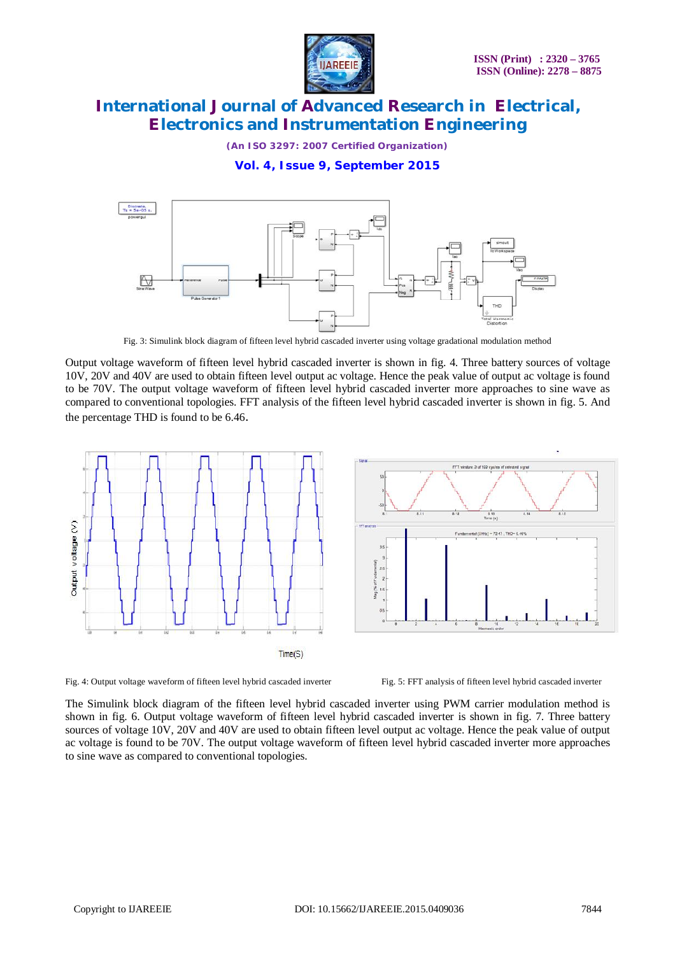

**IJAREEIE** 

*(An ISO 3297: 2007 Certified Organization)*

**Vol. 4, Issue 9, September 2015**



Fig. 3: Simulink block diagram of fifteen level hybrid cascaded inverter using voltage gradational modulation method

Output voltage waveform of fifteen level hybrid cascaded inverter is shown in fig. 4. Three battery sources of voltage 10V, 20V and 40V are used to obtain fifteen level output ac voltage. Hence the peak value of output ac voltage is found to be 70V. The output voltage waveform of fifteen level hybrid cascaded inverter more approaches to sine wave as compared to conventional topologies. FFT analysis of the fifteen level hybrid cascaded inverter is shown in fig. 5. And the percentage THD is found to be 6.46.





Fig. 4: Output voltage waveform of fifteen level hybrid cascaded inverter Fig. 5: FFT analysis of fifteen level hybrid cascaded inverter

The Simulink block diagram of the fifteen level hybrid cascaded inverter using PWM carrier modulation method is shown in fig. 6. Output voltage waveform of fifteen level hybrid cascaded inverter is shown in fig. 7. Three battery sources of voltage 10V, 20V and 40V are used to obtain fifteen level output ac voltage. Hence the peak value of output ac voltage is found to be 70V. The output voltage waveform of fifteen level hybrid cascaded inverter more approaches to sine wave as compared to conventional topologies.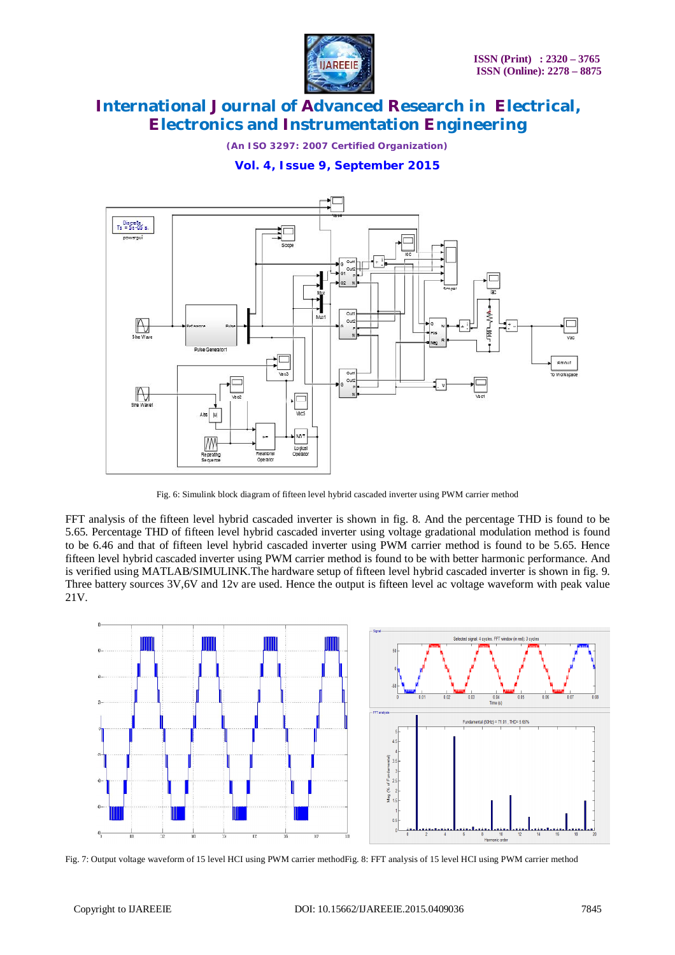

*(An ISO 3297: 2007 Certified Organization)*

### **Vol. 4, Issue 9, September 2015**



Fig. 6: Simulink block diagram of fifteen level hybrid cascaded inverter using PWM carrier method

FFT analysis of the fifteen level hybrid cascaded inverter is shown in fig. 8. And the percentage THD is found to be 5.65. Percentage THD of fifteen level hybrid cascaded inverter using voltage gradational modulation method is found to be 6.46 and that of fifteen level hybrid cascaded inverter using PWM carrier method is found to be 5.65. Hence fifteen level hybrid cascaded inverter using PWM carrier method is found to be with better harmonic performance. And is verified using MATLAB/SIMULINK.The hardware setup of fifteen level hybrid cascaded inverter is shown in fig. 9. Three battery sources 3V,6V and 12v are used. Hence the output is fifteen level ac voltage waveform with peak value 21V.



Fig. 7: Output voltage waveform of 15 level HCI using PWM carrier methodFig. 8: FFT analysis of 15 level HCI using PWM carrier method